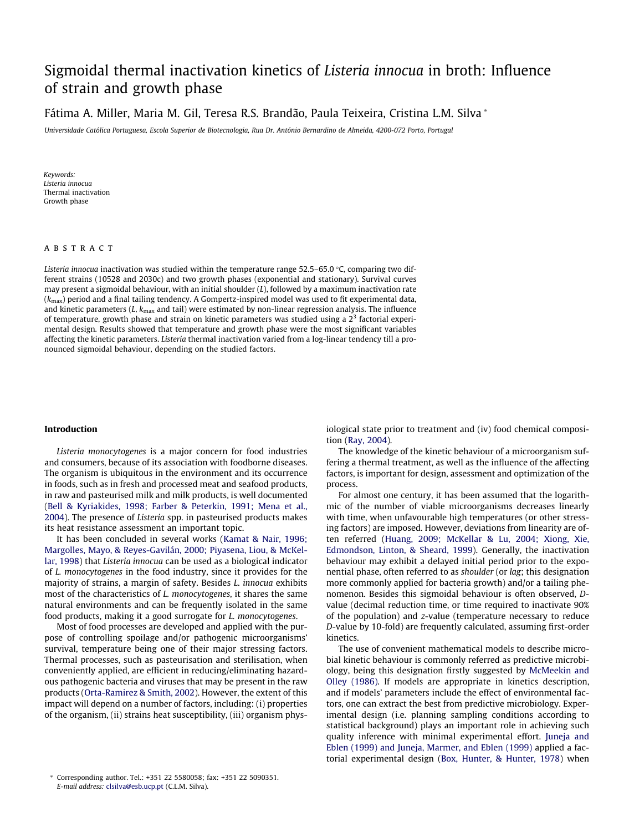# Sigmoidal thermal inactivation kinetics of Lis[teria](http://www.sciencedirect.com/science/journal/09567135) [inno](http://www.sciencedirect.com/science/journal/09567135)cua in broth: Influence of strain and growth phase

Fátima A. Miller, Maria M. Gil, Teresa R.S. Brandão, Paula Teixeira, Cristina L.M. Silva \*

Universidade Católica Portuguesa, Escola Superior de Biotecnologia, Rua Dr. António Bernardino de Almeida, 4200-072 Porto, Portugal

Keywords: Listeria innocua Thermal inactivation Growth phase

#### **ABSTRACT**

Listeria innocua inactivation was studied within the temperature range 52.5–65.0 °C, comparing two different strains (10528 and 2030c) and two growth phases (exponential and stationary). Survival curves may present a sigmoidal behaviour, with an initial shoulder  $(L)$ , followed by a maximum inactivation rate  $(k<sub>max</sub>)$  period and a final tailing tendency. A Gompertz-inspired model was used to fit experimental data, and kinetic parameters  $(L, k_{\text{max}}$  and tail) were estimated by non-linear regression analysis. The influence of temperature, growth phase and strain on kinetic parameters was studied using a  $2<sup>3</sup>$  factorial experimental design. Results showed that temperature and growth phase were the most significant variables affecting the kinetic parameters. Listeria thermal inactivation varied from a log-linear tendency till a pronounced sigmoidal behaviour, depending on the studied factors.

#### Introduction

Listeria monocytogenes is a major concern for food industries and consumers, because of its association with foodborne diseases. The organism is ubiquitous in the environment and its occurrence in foods, such as in fresh and processed meat and seafood products, in raw and pasteurised milk and milk products, is well documented ([Bell & Kyriakides, 1998; Farber & Peterkin, 1991; Mena et al.,](#page-5-0) [2004](#page-5-0)). The presence of Listeria spp. in pasteurised products makes its heat resistance assessment an important topic.

It has been concluded in several works [\(Kamat & Nair, 1996;](#page-5-0) [Margolles, Mayo, & Reyes-Gavilán, 2000; Piyasena, Liou, & McKel](#page-5-0)[lar, 1998\)](#page-5-0) that Listeria innocua can be used as a biological indicator of L. monocytogenes in the food industry, since it provides for the majority of strains, a margin of safety. Besides L. innocua exhibits most of the characteristics of L. monocytogenes, it shares the same natural environments and can be frequently isolated in the same food products, making it a good surrogate for L. monocytogenes.

Most of food processes are developed and applied with the purpose of controlling spoilage and/or pathogenic microorganisms' survival, temperature being one of their major stressing factors. Thermal processes, such as pasteurisation and sterilisation, when conveniently applied, are efficient in reducing/eliminating hazardous pathogenic bacteria and viruses that may be present in the raw products ([Orta-Ramirez & Smith, 2002\)](#page-5-0). However, the extent of this impact will depend on a number of factors, including: (i) properties of the organism, (ii) strains heat susceptibility, (iii) organism phys-

\* Corresponding author. Tel.: +351 22 5580058; fax: +351 22 5090351. E-mail address: clsilva@esb.ucp.pt (C.L.M. Silva).

iological state prior to treatment and (iv) food chemical composition [\(Ray, 2004](#page-6-0)).

The knowledge of the kinetic behaviour of a microorganism suffering a thermal treatment, as well as the influence of the affecting factors, is important for design, assessment and optimization of the process.

For almost one century, it has been assumed that the logarithmic of the number of viable microorganisms decreases linearly with time, when unfavourable high temperatures (or other stressing factors) are imposed. However, deviations from linearity are often referred ([Huang, 2009; McKellar & Lu, 2004; Xiong, Xie,](#page-5-0) [Edmondson, Linton, & Sheard, 1999](#page-5-0)). Generally, the inactivation behaviour may exhibit a delayed initial period prior to the exponential phase, often referred to as shoulder (or lag; this designation more commonly applied for bacteria growth) and/or a tailing phenomenon. Besides this sigmoidal behaviour is often observed, Dvalue (decimal reduction time, or time required to inactivate 90% of the population) and z-value (temperature necessary to reduce D-value by 10-fold) are frequently calculated, assuming first-order kinetics.

The use of convenient mathematical models to describe microbial kinetic behaviour is commonly referred as predictive microbiology, being this designation firstly suggested by [McMeekin and](#page-5-0) [Olley \(1986\).](#page-5-0) If models are appropriate in kinetics description, and if models' parameters include the effect of environmental factors, one can extract the best from predictive microbiology. Experimental design (i.e. planning sampling conditions according to statistical background) plays an important role in achieving such quality inference with minimal experimental effort. [Juneja and](#page-5-0) [Eblen \(1999\) and Juneja, Marmer, and Eblen \(1999\)](#page-5-0) applied a factorial experimental design [\(Box, Hunter, & Hunter, 1978\)](#page-5-0) when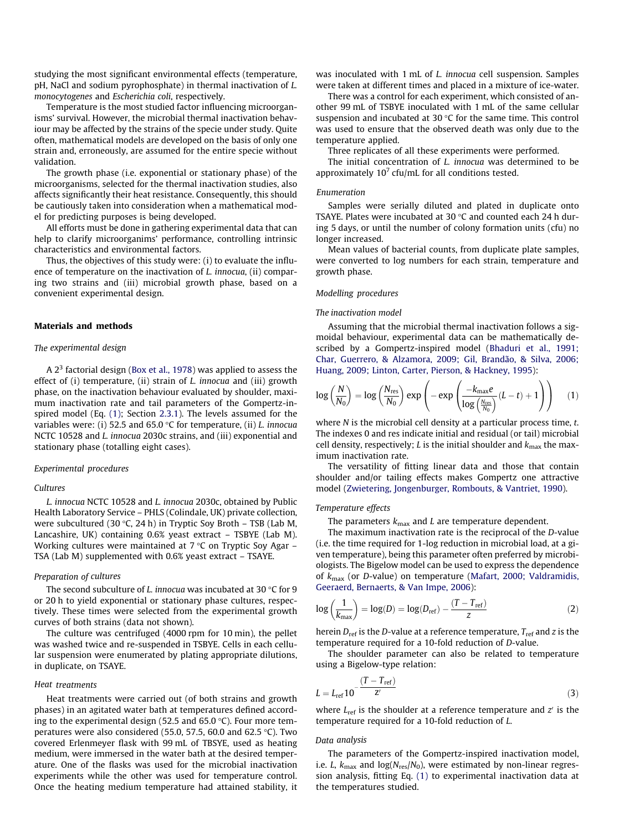<span id="page-1-0"></span>studying the most significant environmental effects (temperature, pH, NaCl and sodium pyrophosphate) in thermal inactivation of L. monocytogenes and Escherichia coli, respectively.

Temperature is the most studied factor influencing microorganisms' survival. However, the microbial thermal inactivation behaviour may be affected by the strains of the specie under study. Quite often, mathematical models are developed on the basis of only one strain and, erroneously, are assumed for the entire specie without validation.

The growth phase (i.e. exponential or stationary phase) of the microorganisms, selected for the thermal inactivation studies, also affects significantly their heat resistance. Consequently, this should be cautiously taken into consideration when a mathematical model for predicting purposes is being developed.

All efforts must be done in gathering experimental data that can help to clarify microorganims' performance, controlling intrinsic characteristics and environmental factors.

Thus, the objectives of this study were: (i) to evaluate the influence of temperature on the inactivation of L. innocua, (ii) comparing two strains and (iii) microbial growth phase, based on a convenient experimental design.

#### Materials and methods

### The experimental design

A  $2<sup>3</sup>$  factorial design ([Box et al., 1978\)](#page-5-0) was applied to assess the effect of (i) temperature, (ii) strain of *L. innocua* and (iii) growth phase, on the inactivation behaviour evaluated by shoulder, maximum inactivation rate and tail parameters of the Gompertz-inspired model (Eq. (1); Section 2.3.1). The levels assumed for the variables were: (i) 52.5 and 65.0 °C for temperature, (ii) L. innocua NCTC 10528 and L. innocua 2030c strains, and (iii) exponential and stationary phase (totalling eight cases).

#### Experimental procedures

#### Cultures

L. innocua NCTC 10528 and L. innocua 2030c, obtained by Public Health Laboratory Service – PHLS (Colindale, UK) private collection, were subcultured (30 °C, 24 h) in Tryptic Soy Broth – TSB (Lab M, Lancashire, UK) containing 0.6% yeast extract – TSBYE (Lab M). Working cultures were maintained at 7 °C on Tryptic Soy Agar – TSA (Lab M) supplemented with 0.6% yeast extract – TSAYE.

## Preparation of cultures

The second subculture of L. innocua was incubated at 30 °C for 9 or 20 h to yield exponential or stationary phase cultures, respectively. These times were selected from the experimental growth curves of both strains (data not shown).

The culture was centrifuged (4000 rpm for 10 min), the pellet was washed twice and re-suspended in TSBYE. Cells in each cellular suspension were enumerated by plating appropriate dilutions, in duplicate, on TSAYE.

#### Heat treatments

Heat treatments were carried out (of both strains and growth phases) in an agitated water bath at temperatures defined according to the experimental design (52.5 and 65.0 °C). Four more temperatures were also considered (55.0, 57.5, 60.0 and 62.5 °C). Two covered Erlenmeyer flask with 99 mL of TBSYE, used as heating medium, were immersed in the water bath at the desired temperature. One of the flasks was used for the microbial inactivation experiments while the other was used for temperature control. Once the heating medium temperature had attained stability, it was inoculated with 1 mL of L. innocua cell suspension. Samples were taken at different times and placed in a mixture of ice-water.

There was a control for each experiment, which consisted of another 99 mL of TSBYE inoculated with 1 mL of the same cellular suspension and incubated at 30  $\degree$ C for the same time. This control was used to ensure that the observed death was only due to the temperature applied.

Three replicates of all these experiments were performed.

The initial concentration of L. innocua was determined to be approximately  $10<sup>7</sup>$  cfu/mL for all conditions tested.

#### Enumeration

Samples were serially diluted and plated in duplicate onto TSAYE. Plates were incubated at 30  $\degree$ C and counted each 24 h during 5 days, or until the number of colony formation units (cfu) no longer increased.

Mean values of bacterial counts, from duplicate plate samples, were converted to log numbers for each strain, temperature and growth phase.

## Modelling procedures

#### The inactivation model

Assuming that the microbial thermal inactivation follows a sigmoidal behaviour, experimental data can be mathematically described by a Gompertz-inspired model [\(Bhaduri et al., 1991;](#page-5-0) [Char, Guerrero, & Alzamora, 2009; Gil, Brandão, & Silva, 2006;](#page-5-0) [Huang, 2009; Linton, Carter, Pierson, & Hackney, 1995](#page-5-0)):

$$
\log\left(\frac{N}{N_0}\right) = \log\left(\frac{N_{\rm res}}{N_0}\right) \exp\left(-\exp\left(\frac{-k_{\rm max}e}{\log\left(\frac{N_{\rm res}}{N_0}\right)}(L-t) + 1\right)\right) \tag{1}
$$

where N is the microbial cell density at a particular process time, t. The indexes 0 and res indicate initial and residual (or tail) microbial cell density, respectively; L is the initial shoulder and  $k_{\text{max}}$  the maximum inactivation rate.

The versatility of fitting linear data and those that contain shoulder and/or tailing effects makes Gompertz one attractive model [\(Zwietering, Jongenburger, Rombouts, & Vantriet, 1990](#page-6-0)).

# Temperature effects

The parameters  $k_{\text{max}}$  and L are temperature dependent.

The maximum inactivation rate is the reciprocal of the D-value (i.e. the time required for 1-log reduction in microbial load, at a given temperature), being this parameter often preferred by microbiologists. The Bigelow model can be used to express the dependence of  $k_{\text{max}}$  (or D-value) on temperature [\(Mafart, 2000; Valdramidis,](#page-5-0) [Geeraerd, Bernaerts, & Van Impe, 2006](#page-5-0)):

$$
\log\left(\frac{1}{k_{\text{max}}}\right) = \log(D) = \log(D_{\text{ref}}) - \frac{(T - T_{\text{ref}})}{z}
$$
 (2)

herein  $D_{ref}$  is the D-value at a reference temperature,  $T_{ref}$  and z is the temperature required for a 10-fold reduction of D-value.

The shoulder parameter can also be related to temperature using a Bigelow-type relation:

$$
L = L_{\text{ref}} 10^{-\frac{(T - T_{\text{ref}})}{Z'}} \tag{3}
$$

where  $L_{ref}$  is the shoulder at a reference temperature and  $z<sup>i</sup>$  is the temperature required for a 10-fold reduction of L.

#### Data analysis

The parameters of the Gompertz-inspired inactivation model, i.e. *L*,  $k_{\text{max}}$  and  $\log(N_{\text{res}}/N_0)$ , were estimated by non-linear regression analysis, fitting Eq. (1) to experimental inactivation data at the temperatures studied.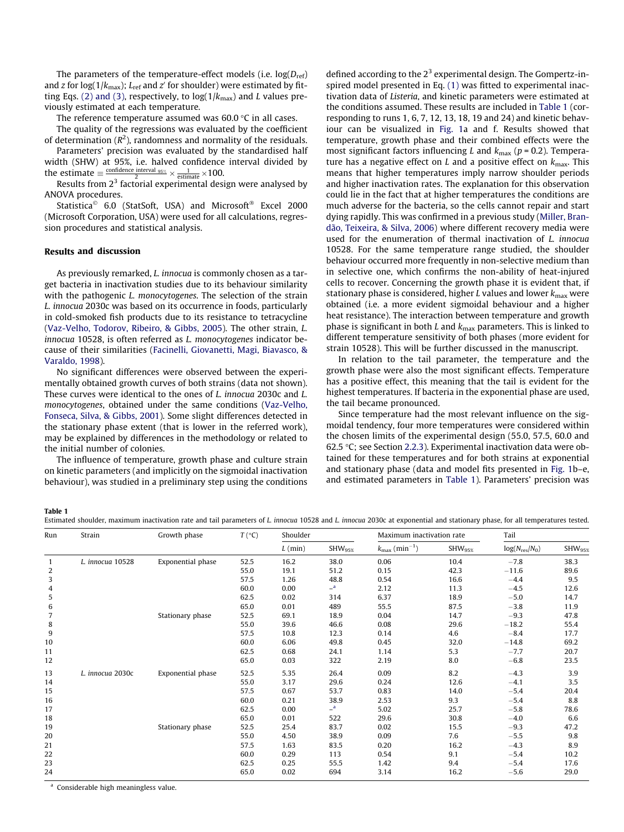The parameters of the temperature-effect models (i.e.  $log(D_{ref})$ ) and z for log(1/ $k_{\text{max}}$ ); L<sub>ref</sub> and z' for shoulder) were estimated by fit-ting Eqs. [\(2\) and \(3\),](#page-1-0) respectively, to  $log(1/k_{max})$  and L values previously estimated at each temperature.

The reference temperature assumed was 60.0 °C in all cases.

The quality of the regressions was evaluated by the coefficient of determination ( $R^2$ ), randomness and normality of the residuals.

Parameters' precision was evaluated by the standardised half width (SHW) at 95%, i.e. halved confidence interval divided by the estimate  $\equiv \frac{\text{confidence interval }_{95\%}}{2} \times \frac{1}{\text{estimate}} \times 100.$ 

Results from  $2<sup>3</sup>$  factorial experimental design were analysed by ANOVA procedures.

Statistica<sup>©</sup> 6.0 (StatSoft, USA) and Microsoft<sup>®</sup> Excel 2000 (Microsoft Corporation, USA) were used for all calculations, regression procedures and statistical analysis.

#### Results and discussion

As previously remarked, L. innocua is commonly chosen as a target bacteria in inactivation studies due to its behaviour similarity with the pathogenic *L. monocytogenes*. The selection of the strain L. innocua 2030c was based on its occurrence in foods, particularly in cold-smoked fish products due to its resistance to tetracycline ([Vaz-Velho, Todorov, Ribeiro, & Gibbs, 2005](#page-6-0)). The other strain, L. innocua 10528, is often referred as L. monocytogenes indicator because of their similarities [\(Facinelli, Giovanetti, Magi, Biavasco, &](#page-5-0) [Varaldo, 1998](#page-5-0)).

No significant differences were observed between the experimentally obtained growth curves of both strains (data not shown). These curves were identical to the ones of L. innocua 2030c and L. monocytogenes, obtained under the same conditions ([Vaz-Velho,](#page-6-0) [Fonseca, Silva, & Gibbs, 2001](#page-6-0)). Some slight differences detected in the stationary phase extent (that is lower in the referred work), may be explained by differences in the methodology or related to the initial number of colonies.

The influence of temperature, growth phase and culture strain on kinetic parameters (and implicitly on the sigmoidal inactivation behaviour), was studied in a preliminary step using the conditions defined according to the  $2<sup>3</sup>$  experimental design. The Gompertz-inspired model presented in Eq. [\(1\)](#page-1-0) was fitted to experimental inactivation data of Listeria, and kinetic parameters were estimated at the conditions assumed. These results are included in Table 1 (corresponding to runs 1, 6, 7, 12, 13, 18, 19 and 24) and kinetic behaviour can be visualized in [Fig. 1a](#page-3-0) and f. Results showed that temperature, growth phase and their combined effects were the most significant factors influencing L and  $k_{\text{max}}$  ( $p = 0.2$ ). Temperature has a negative effect on L and a positive effect on  $k_{\text{max}}$ . This means that higher temperatures imply narrow shoulder periods and higher inactivation rates. The explanation for this observation could lie in the fact that at higher temperatures the conditions are much adverse for the bacteria, so the cells cannot repair and start dying rapidly. This was confirmed in a previous study [\(Miller, Bran](#page-5-0)[dão, Teixeira, & Silva, 2006\)](#page-5-0) where different recovery media were used for the enumeration of thermal inactivation of L. innocua 10528. For the same temperature range studied, the shoulder behaviour occurred more frequently in non-selective medium than in selective one, which confirms the non-ability of heat-injured cells to recover. Concerning the growth phase it is evident that, if stationary phase is considered, higher L values and lower  $k_{\text{max}}$  were obtained (i.e. a more evident sigmoidal behaviour and a higher heat resistance). The interaction between temperature and growth phase is significant in both L and  $k_{\text{max}}$  parameters. This is linked to different temperature sensitivity of both phases (more evident for strain 10528). This will be further discussed in the manuscript.

In relation to the tail parameter, the temperature and the growth phase were also the most significant effects. Temperature has a positive effect, this meaning that the tail is evident for the highest temperatures. If bacteria in the exponential phase are used, the tail became pronounced.

Since temperature had the most relevant influence on the sigmoidal tendency, four more temperatures were considered within the chosen limits of the experimental design (55.0, 57.5, 60.0 and 62.5 -C; see Section [2.2.3\)](#page-1-0). Experimental inactivation data were obtained for these temperatures and for both strains at exponential and stationary phase (data and model fits presented in [Fig. 1b](#page-3-0)–e, and estimated parameters in Table 1). Parameters' precision was

Table 1

Estimated shoulder, maximum inactivation rate and tail parameters of L. innocua 10528 and L. innocua 2030c at exponential and stationary phase, for all temperatures tested.

| Run          | Strain           | Growth phase      | $T({}^{\circ}C)$ | Shoulder  |              | Maximum inactivation rate             |              | Tail               |                    |
|--------------|------------------|-------------------|------------------|-----------|--------------|---------------------------------------|--------------|--------------------|--------------------|
|              |                  |                   |                  | $L$ (min) | $SHW_{95\%}$ | $k_{\text{max}}$ (min <sup>-1</sup> ) | $SHW_{95\%}$ | $log(N_{res}/N_0)$ | SHW <sub>952</sub> |
| $\mathbf{1}$ | L. innocua 10528 | Exponential phase | 52.5             | 16.2      | 38.0         | 0.06                                  | 10.4         | $-7.8$             | 38.3               |
| 2            |                  |                   | 55.0             | 19.1      | 51.2         | 0.15                                  | 42.3         | $-11.6$            | 89.6               |
| 3            |                  |                   | 57.5             | 1.26      | 48.8         | 0.54                                  | 16.6         | $-4.4$             | 9.5                |
| 4            |                  |                   | 60.0             | 0.00      | a            | 2.12                                  | 11.3         | $-4.5$             | 12.6               |
| 5            |                  |                   | 62.5             | 0.02      | 314          | 6.37                                  | 18.9         | $-5.0$             | 14.7               |
| 6            |                  |                   | 65.0             | 0.01      | 489          | 55.5                                  | 87.5         | $-3.8$             | 11.9               |
| 7            |                  | Stationary phase  | 52.5             | 69.1      | 18.9         | 0.04                                  | 14.7         | $-9.3$             | 47.8               |
| 8            |                  |                   | 55.0             | 39.6      | 46.6         | 0.08                                  | 29.6         | $-18.2$            | 55.4               |
| 9            |                  |                   | 57.5             | 10.8      | 12.3         | 0.14                                  | 4.6          | $-8.4$             | 17.7               |
| 10           |                  |                   | 60.0             | 6.06      | 49.8         | 0.45                                  | 32.0         | $-14.8$            | 69.2               |
| 11           |                  |                   | 62.5             | 0.68      | 24.1         | 1.14                                  | 5.3          | $-7.7$             | 20.7               |
| 12           |                  |                   | 65.0             | 0.03      | 322          | 2.19                                  | 8.0          | $-6.8$             | 23.5               |
| 13           | L. innocua 2030c | Exponential phase | 52.5             | 5.35      | 26.4         | 0.09                                  | 8.2          | $-4.3$             | 3.9                |
| 14           |                  |                   | 55.0             | 3.17      | 29.6         | 0.24                                  | 12.6         | $-4.1$             | 3.5                |
| 15           |                  |                   | 57.5             | 0.67      | 53.7         | 0.83                                  | 14.0         | $-5.4$             | 20.4               |
| 16           |                  |                   | 60.0             | 0.21      | 38.9         | 2.53                                  | 9.3          | $-5.4$             | 8.8                |
| 17           |                  |                   | 62.5             | 0.00      | $a -$        | 5.02                                  | 25.7         | $-5.8$             | 78.6               |
| 18           |                  |                   | 65.0             | 0.01      | 522          | 29.6                                  | 30.8         | $-4.0$             | 6.6                |
| 19           |                  | Stationary phase  | 52.5             | 25.4      | 83.7         | 0.02                                  | 15.5         | $-9.3$             | 47.2               |
| 20           |                  |                   | 55.0             | 4.50      | 38.9         | 0.09                                  | 7.6          | $-5.5$             | 9.8                |
| 21           |                  |                   | 57.5             | 1.63      | 83.5         | 0.20                                  | 16.2         | $-4.3$             | 8.9                |
| 22           |                  |                   | 60.0             | 0.29      | 113          | 0.54                                  | 9.1          | $-5.4$             | 10.2               |
| 23           |                  |                   | 62.5             | 0.25      | 55.5         | 1.42                                  | 9.4          | $-5.4$             | 17.6               |
| 24           |                  |                   | 65.0             | 0.02      | 694          | 3.14                                  | 16.2         | $-5.6$             | 29.0               |
|              |                  |                   |                  |           |              |                                       |              |                    |                    |

<sup>a</sup> Considerable high meaningless value.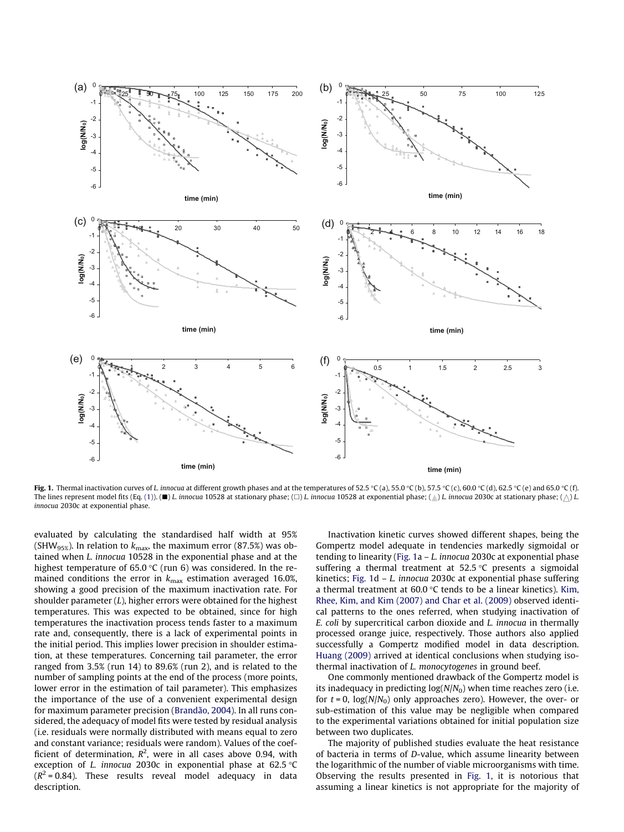<span id="page-3-0"></span>

**Fig. 1.** Thermal inactivation curves of *L.* innocua at different growth phases and at the temperatures of 52.5 °C (a), 55.0 °C (b), 57.5 °C (c), 60.0 °C (d), 62.5 °C (e) and 65.0 °C (f) The lines represent model fits (Eq. [\(1\)](#page-1-0)). ( $\blacksquare$ ) L. innocua 10528 at stationary phase; ( $\Box$ ) L. innocua 10528 at exponential phase; ( $\Diamond$ ) L. innocua 2030c at stationary phase; ( $\Diamond$ ) L. innocua 2030c at exponential phase.

evaluated by calculating the standardised half width at 95% (SHW<sub>95%</sub>). In relation to  $k_{\text{max}}$ , the maximum error (87.5%) was obtained when L. innocua 10528 in the exponential phase and at the highest temperature of 65.0 °C (run 6) was considered. In the remained conditions the error in  $k_{\text{max}}$  estimation averaged 16.0%, showing a good precision of the maximum inactivation rate. For shoulder parameter  $(L)$ , higher errors were obtained for the highest temperatures. This was expected to be obtained, since for high temperatures the inactivation process tends faster to a maximum rate and, consequently, there is a lack of experimental points in the initial period. This implies lower precision in shoulder estimation, at these temperatures. Concerning tail parameter, the error ranged from 3.5% (run 14) to 89.6% (run 2), and is related to the number of sampling points at the end of the process (more points, lower error in the estimation of tail parameter). This emphasizes the importance of the use of a convenient experimental design for maximum parameter precision ([Brandão, 2004\)](#page-5-0). In all runs considered, the adequacy of model fits were tested by residual analysis (i.e. residuals were normally distributed with means equal to zero and constant variance; residuals were random). Values of the coefficient of determination,  $R^2$ , were in all cases above 0.94, with exception of *L. innocua* 2030c in exponential phase at 62.5  $\degree$ C  $(R^2 = 0.84)$ . These results reveal model adequacy in data description.

Inactivation kinetic curves showed different shapes, being the Gompertz model adequate in tendencies markedly sigmoidal or tending to linearity (Fig. 1a  $-L$ . innocua 2030c at exponential phase suffering a thermal treatment at  $52.5^{\circ}$ C presents a sigmoidal kinetics; Fig. 1d – L. innocua 2030c at exponential phase suffering a thermal treatment at  $60.0$  °C tends to be a linear kinetics). [Kim,](#page-5-0) [Rhee, Kim, and Kim \(2007\) and Char et al. \(2009\)](#page-5-0) observed identical patterns to the ones referred, when studying inactivation of E. coli by supercritical carbon dioxide and L. innocua in thermally processed orange juice, respectively. Those authors also applied successfully a Gompertz modified model in data description. [Huang \(2009\)](#page-5-0) arrived at identical conclusions when studying isothermal inactivation of L. monocytogenes in ground beef.

One commonly mentioned drawback of the Gompertz model is its inadequacy in predicting  $log(N/N_0)$  when time reaches zero (i.e. for  $t = 0$ ,  $log(N/N_0)$  only approaches zero). However, the over- or sub-estimation of this value may be negligible when compared to the experimental variations obtained for initial population size between two duplicates.

The majority of published studies evaluate the heat resistance of bacteria in terms of D-value, which assume linearity between the logarithmic of the number of viable microorganisms with time. Observing the results presented in Fig. 1, it is notorious that assuming a linear kinetics is not appropriate for the majority of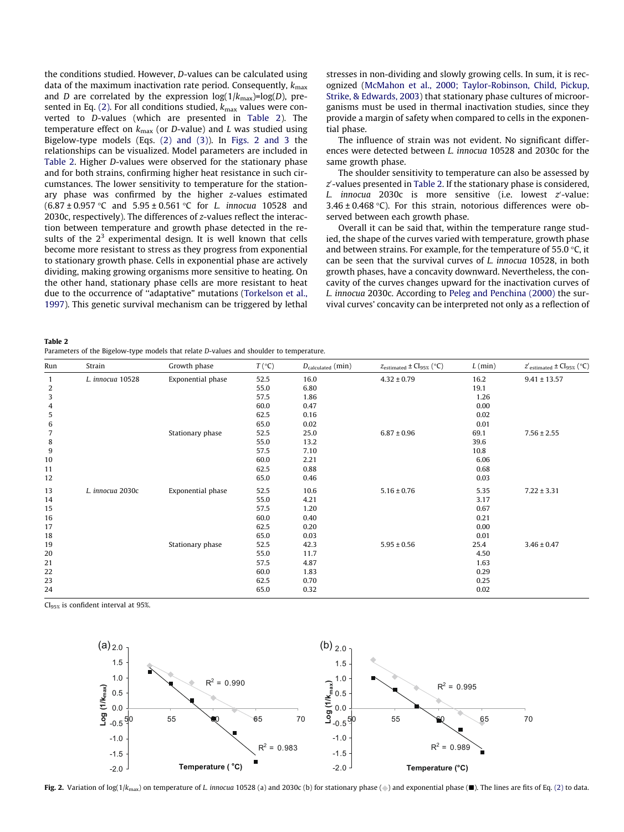the conditions studied. However, D-values can be calculated using data of the maximum inactivation rate period. Consequently,  $k_{\text{max}}$ and D are correlated by the expression  $log(1/k_{max})=log(D)$ , pre-sented in Eq. [\(2\).](#page-1-0) For all conditions studied,  $k_{\text{max}}$  values were converted to D-values (which are presented in Table 2). The temperature effect on  $k_{\text{max}}$  (or D-value) and L was studied using Bigelow-type models (Eqs. [\(2\) and \(3\)\)](#page-1-0). In Figs. 2 and 3 the relationships can be visualized. Model parameters are included in Table 2. Higher D-values were observed for the stationary phase and for both strains, confirming higher heat resistance in such circumstances. The lower sensitivity to temperature for the stationary phase was confirmed by the higher z-values estimated  $(6.87 \pm 0.957 \degree C$  and  $5.95 \pm 0.561 \degree C$  for L. innocua 10528 and 2030c, respectively). The differences of z-values reflect the interaction between temperature and growth phase detected in the results of the  $2<sup>3</sup>$  experimental design. It is well known that cells become more resistant to stress as they progress from exponential to stationary growth phase. Cells in exponential phase are actively dividing, making growing organisms more sensitive to heating. On the other hand, stationary phase cells are more resistant to heat due to the occurrence of ''adaptative" mutations [\(Torkelson et al.,](#page-6-0) [1997\)](#page-6-0). This genetic survival mechanism can be triggered by lethal stresses in non-dividing and slowly growing cells. In sum, it is recognized [\(McMahon et al., 2000; Taylor-Robinson, Child, Pickup,](#page-5-0) [Strike, & Edwards, 2003\)](#page-5-0) that stationary phase cultures of microorganisms must be used in thermal inactivation studies, since they provide a margin of safety when compared to cells in the exponential phase.

The influence of strain was not evident. No significant differences were detected between L. innocua 10528 and 2030c for the same growth phase.

The shoulder sensitivity to temperature can also be assessed by  $z^\prime$ -values presented in Table 2. If the stationary phase is considered,  $L.$  innocua 2030c is more sensitive (i.e. lowest  $z'$ -value:  $3.46 \pm 0.468$  °C). For this strain, notorious differences were observed between each growth phase.

Overall it can be said that, within the temperature range studied, the shape of the curves varied with temperature, growth phase and between strains. For example, for the temperature of 55.0 °C, it can be seen that the survival curves of L. innocua 10528, in both growth phases, have a concavity downward. Nevertheless, the concavity of the curves changes upward for the inactivation curves of L. innocua 2030c. According to [Peleg and Penchina \(2000\)](#page-5-0) the survival curves' concavity can be interpreted not only as a reflection of

Table 2

| Parameters of the Bigelow-type models that relate D-values and shoulder to temperature. |  |
|-----------------------------------------------------------------------------------------|--|
|-----------------------------------------------------------------------------------------|--|

| Run            | Strain           | Growth phase      | $T({}^{\circ}C)$ | $D_{calculated}$ (min) | Zestimated ± Cl95% (°C) | $L$ (min) | $Z'$ estimated $\pm$ Cl95% ( $^{\circ}$ C) |
|----------------|------------------|-------------------|------------------|------------------------|-------------------------|-----------|--------------------------------------------|
| $\mathbf{1}$   | L. innocua 10528 | Exponential phase | 52.5             | 16.0                   | $4.32 \pm 0.79$         | 16.2      | $9.41 \pm 13.57$                           |
| 2              |                  |                   | 55.0             | 6.80                   |                         | 19.1      |                                            |
| 3              |                  |                   | 57.5             | 1.86                   |                         | 1.26      |                                            |
| $\overline{4}$ |                  |                   | 60.0             | 0.47                   |                         | 0.00      |                                            |
| 5              |                  |                   | 62.5             | 0.16                   |                         | 0.02      |                                            |
| $\,6\,$        |                  |                   | 65.0             | 0.02                   |                         | 0.01      |                                            |
| $\overline{7}$ |                  | Stationary phase  | 52.5             | 25.0                   | $6.87 \pm 0.96$         | 69.1      | $7.56 \pm 2.55$                            |
| 8              |                  |                   | 55.0             | 13.2                   |                         | 39.6      |                                            |
| 9              |                  |                   | 57.5             | 7.10                   |                         | 10.8      |                                            |
| 10             |                  |                   | 60.0             | 2.21                   |                         | 6.06      |                                            |
| 11             |                  |                   | 62.5             | 0.88                   |                         | 0.68      |                                            |
| 12             |                  |                   | 65.0             | 0.46                   |                         | 0.03      |                                            |
| 13             | L. innocua 2030c | Exponential phase | 52.5             | 10.6                   | $5.16 \pm 0.76$         | 5.35      | $7.22 \pm 3.31$                            |
| 14             |                  |                   | 55.0             | 4.21                   |                         | 3.17      |                                            |
| 15             |                  |                   | 57.5             | 1.20                   |                         | 0.67      |                                            |
| 16             |                  |                   | 60.0             | 0.40                   |                         | 0.21      |                                            |
| 17             |                  |                   | 62.5             | 0.20                   |                         | 0.00      |                                            |
| 18             |                  |                   | 65.0             | 0.03                   |                         | 0.01      |                                            |
| 19             |                  | Stationary phase  | 52.5             | 42.3                   | $5.95 \pm 0.56$         | 25.4      | $3.46 \pm 0.47$                            |
| 20             |                  |                   | 55.0             | 11.7                   |                         | 4.50      |                                            |
| 21             |                  |                   | 57.5             | 4.87                   |                         | 1.63      |                                            |
| 22             |                  |                   | 60.0             | 1.83                   |                         | 0.29      |                                            |
| 23             |                  |                   | 62.5             | 0.70                   |                         | 0.25      |                                            |
| 24             |                  |                   | 65.0             | 0.32                   |                         | 0.02      |                                            |

CI95% is confident interval at 95%.



Fig. 2. Variation of log(1/k<sub>max</sub>) on temperature of L. innocua 10528 (a) and 2030c (b) for stationary phase ( $\bullet$ ) and exponential phase ( $\blacksquare$ ). The lines are fits of Eq. [\(2\)](#page-1-0) to data.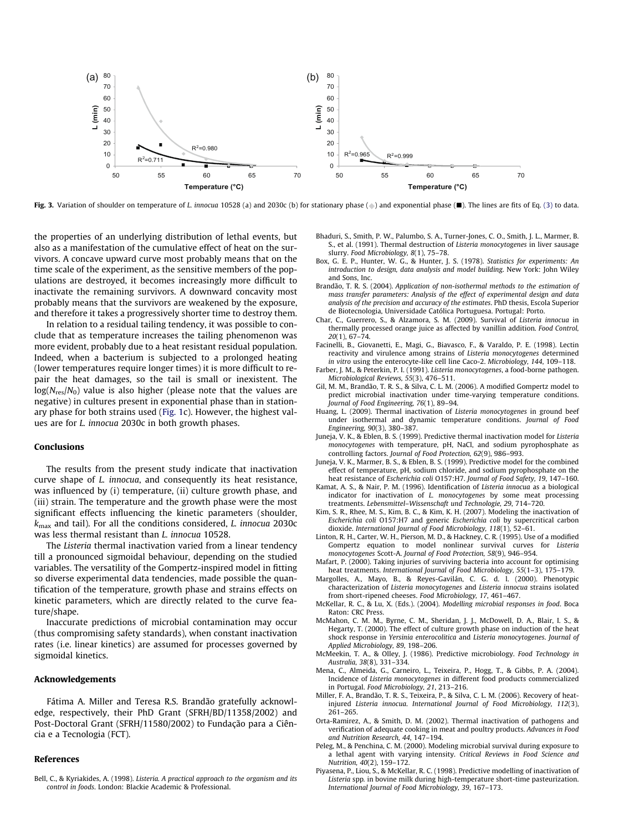<span id="page-5-0"></span>

Fig. 3. Variation of shoulder on temperature of L. innocua 10528 (a) and 2030c (b) for stationary phase (a) and exponential phase (a). The lines are fits of Eq. [\(3\)](#page-1-0) to data.

the properties of an underlying distribution of lethal events, but also as a manifestation of the cumulative effect of heat on the survivors. A concave upward curve most probably means that on the time scale of the experiment, as the sensitive members of the populations are destroyed, it becomes increasingly more difficult to inactivate the remaining survivors. A downward concavity most probably means that the survivors are weakened by the exposure, and therefore it takes a progressively shorter time to destroy them.

In relation to a residual tailing tendency, it was possible to conclude that as temperature increases the tailing phenomenon was more evident, probably due to a heat resistant residual population. Indeed, when a bacterium is subjected to a prolonged heating (lower temperatures require longer times) it is more difficult to repair the heat damages, so the tail is small or inexistent. The  $log(N_{res}/N_0)$  value is also higher (please note that the values are negative) in cultures present in exponential phase than in stationary phase for both strains used [\(Fig. 1](#page-3-0)c). However, the highest values are for L. innocua 2030c in both growth phases.

# Conclusions

The results from the present study indicate that inactivation curve shape of L. innocua, and consequently its heat resistance, was influenced by (i) temperature, (ii) culture growth phase, and (iii) strain. The temperature and the growth phase were the most significant effects influencing the kinetic parameters (shoulder,  $k_{\text{max}}$  and tail). For all the conditions considered, *L. innocua* 2030c was less thermal resistant than L. innocua 10528.

The Listeria thermal inactivation varied from a linear tendency till a pronounced sigmoidal behaviour, depending on the studied variables. The versatility of the Gompertz-inspired model in fitting so diverse experimental data tendencies, made possible the quantification of the temperature, growth phase and strains effects on kinetic parameters, which are directly related to the curve feature/shape.

Inaccurate predictions of microbial contamination may occur (thus compromising safety standards), when constant inactivation rates (i.e. linear kinetics) are assumed for processes governed by sigmoidal kinetics.

#### Acknowledgements

Fátima A. Miller and Teresa R.S. Brandão gratefully acknowledge, respectively, their PhD Grant (SFRH/BD/11358/2002) and Post-Doctoral Grant (SFRH/11580/2002) to Fundação para a Ciência e a Tecnologia (FCT).

#### References

Bell, C., & Kyriakides, A. (1998). Listeria. A practical approach to the organism and its control in foods. London: Blackie Academic & Professional.

- Bhaduri, S., Smith, P. W., Palumbo, S. A., Turner-Jones, C. O., Smith, J. L., Marmer, B. S., et al. (1991). Thermal destruction of Listeria monocytogenes in liver sausage slurry. Food Microbiology, 8(1), 75–78.
- Box, G. E. P., Hunter, W. G., & Hunter, J. S. (1978). Statistics for experiments: An introduction to design, data analysis and model building. New York: John Wiley and Sons, Inc.
- Brandão, T. R. S. (2004). Application of non-isothermal methods to the estimation of mass transfer parameters: Analysis of the effect of experimental design and data analysis of the precision and accuracy of the estimates. PhD thesis, Escola Superior de Biotecnologia, Universidade Católica Portuguesa. Portugal: Porto.
- Char, C., Guerrero, S., & Alzamora, S. M. (2009). Survival of Listeria innocua in thermally processed orange juice as affected by vanillin addition. Food Control, 20(1), 67–74.
- Facinelli, B., Giovanetti, E., Magi, G., Biavasco, F., & Varaldo, P. E. (1998). Lectin reactivity and virulence among strains of Listeria monocytogenes determined in vitro using the enterocyte-like cell line Caco-2. Microbiology, 144, 109–118.
- Farber, J. M., & Peterkin, P. I. (1991). Listeria monocytogenes, a food-borne pathogen. Microbiological Reviews, 55(3), 476–511.
- Gil, M. M., Brandão, T. R. S., & Silva, C. L. M. (2006). A modified Gompertz model to predict microbial inactivation under time-varying temperature conditions. Journal of Food Engineering, 76(1), 89–94.
- Huang, L. (2009). Thermal inactivation of Listeria monocytogenes in ground beef under isothermal and dynamic temperature conditions. Journal of Food Engineering, 90(3), 380–387.
- Juneja, V. K., & Eblen, B. S. (1999). Predictive thermal inactivation model for Listeria monocytogenes with temperature, pH, NaCl, and sodium pyrophosphate as controlling factors. Journal of Food Protection, 62(9), 986–993.
- Juneja, V. K., Marmer, B. S., & Eblen, B. S. (1999). Predictive model for the combined effect of temperature, pH, sodium chloride, and sodium pyrophosphate on the heat resistance of Escherichia coli O157:H7. Journal of Food Safety, 19, 147–160.
- Kamat, A. S., & Nair, P. M. (1996). Identification of Listeria innocua as a biological indicator for inactivation of L. monocytogenes by some meat processing treatments. Lebensmittel–Wissenschaft und Technologie, 29, 714–720.
- Kim, S. R., Rhee, M. S., Kim, B. C., & Kim, K. H. (2007). Modeling the inactivation of Escherichia coli O157:H7 and generic Escherichia coli by supercritical carbon dioxide. International Journal of Food Microbiology, 118(1), 52–61.
- Linton, R. H., Carter, W. H., Pierson, M. D., & Hackney, C. R. (1995). Use of a modified Gompertz equation to model nonlinear survival curves for Listeria monocytogenes Scott-A. Journal of Food Protection, 58(9), 946–954.
- Mafart, P. (2000). Taking injuries of surviving bacteria into account for optimising heat treatments. International Journal of Food Microbiology, 55(1-3), 175-179.
- Margolles, A., Mayo, B., & Reyes-Gavilán, C. G. d. l. (2000). Phenotypic characterization of Listeria monocytogenes and Listeria innocua strains isolated from short-ripened cheeses. Food Microbiology, 17, 461–467.
- McKellar, R. C., & Lu, X. (Eds.). (2004). Modelling microbial responses in food. Boca Raton: CRC Press.
- McMahon, C. M. M., Byrne, C. M., Sheridan, J. J., McDowell, D. A., Blair, I. S., & Hegarty, T. (2000). The effect of culture growth phase on induction of the heat shock response in Yersinia enterocolitica and Listeria monocytogenes. Journal of Applied Microbiology, 89, 198–206.
- McMeekin, T. A., & Olley, J. (1986). Predictive microbiology. Food Technology in Australia, 38(8), 331–334.
- Mena, C., Almeida, G., Carneiro, L., Teixeira, P., Hogg, T., & Gibbs, P. A. (2004). Incidence of Listeria monocytogenes in different food products commercialized in Portugal. Food Microbiology, 21, 213–216.
- Miller, F. A., Brandão, T. R. S., Teixeira, P., & Silva, C. L. M. (2006). Recovery of heatinjured Listeria innocua. International Journal of Food Microbiology, 112(3), 261–265.
- Orta-Ramirez, A., & Smith, D. M. (2002). Thermal inactivation of pathogens and verification of adequate cooking in meat and poultry products. Advances in Food and Nutrition Research, 44, 147–194.
- Peleg, M., & Penchina, C. M. (2000). Modeling microbial survival during exposure to a lethal agent with varying intensity. Critical Reviews in Food Science and Nutrition, 40(2), 159–172.
- Piyasena, P., Liou, S., & McKellar, R. C. (1998). Predictive modelling of inactivation of Listeria spp. in bovine milk during high-temperature short-time pasteurization. International Journal of Food Microbiology, 39, 167–173.